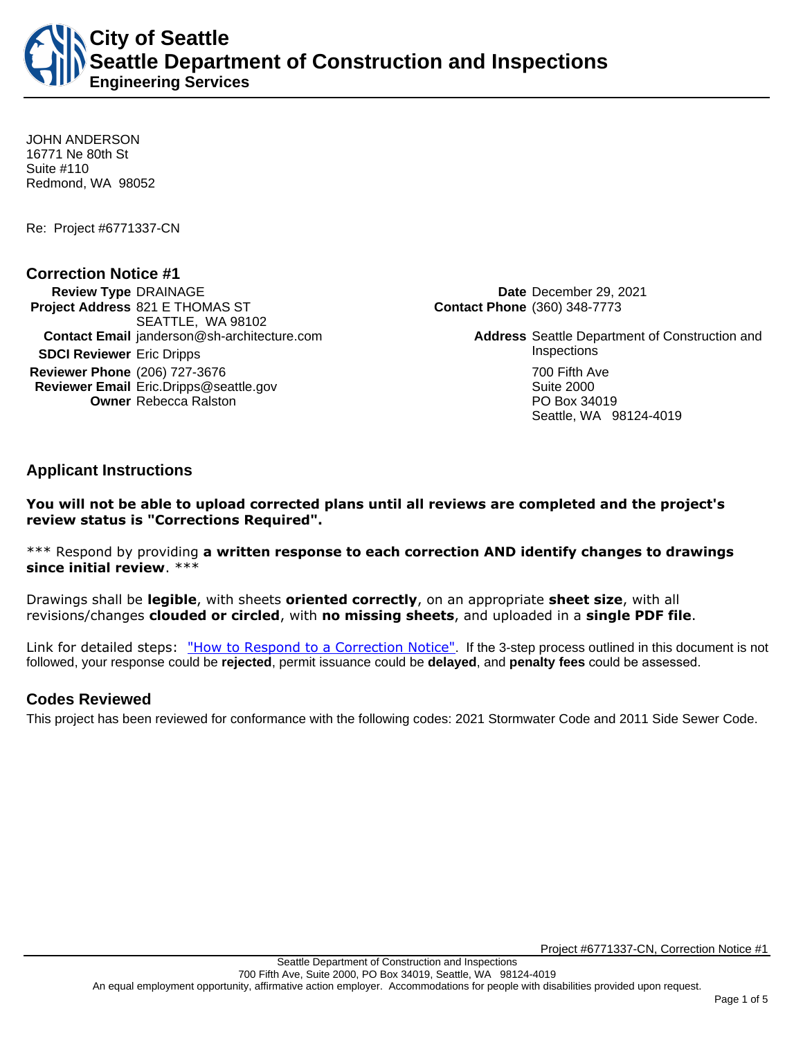**City of Seattle Seattle Department of Construction and Inspections Engineering Services**

JOHN ANDERSON 16771 Ne 80th St Suite #110 Redmond, WA 98052

Re: Project #6771337-CN

## **Correction Notice #1**

**Review Type** DRAINAGE **Date** December 29, 2021 **Project Address** 821 E THOMAS ST SEATTLE, WA 98102 **Contact Email** janderson@sh-architecture.com **Address Seattle Department of Construction and SDCI Reviewer** Eric Dripps **Inspections Reviewer Phone** (206) 727-3676 700 **First Ave 2006** 700 Fifth Ave **Reviewer Email** Eric.Dripps@seattle.gov **Suite 2000** Suite 2000 **Owner** Rebecca Ralston **PO Box 34019** 

**Contact Phone** (360) 348-7773

Seattle, WA 98124-4019

**Applicant Instructions**

**You will not be able to upload corrected plans until all reviews are completed and the project's review status is "Corrections Required".**

\*\*\* Respond by providing **a written response to each correction AND identify changes to drawings since initial review**. \*\*\*

Drawings shall be **legible**, with sheets **oriented correctly**, on an appropriate **sheet size**, with all revisions/changes **clouded or circled**, with **no missing sheets**, and uploaded in a **single PDF file**.

Link for detailed steps: ["How to Respond to a Correction Notice"](http://www.seattle.gov/documents/Departments/SDCI/Permits/HowtoRespondSDCICorrectionNotice.pdf). If the 3-step process outlined in this document is not followed, your response could be **rejected**, permit issuance could be **delayed**, and **penalty fees** could be assessed.

# **Codes Reviewed**

This project has been reviewed for conformance with the following codes: 2021 Stormwater Code and 2011 Side Sewer Code.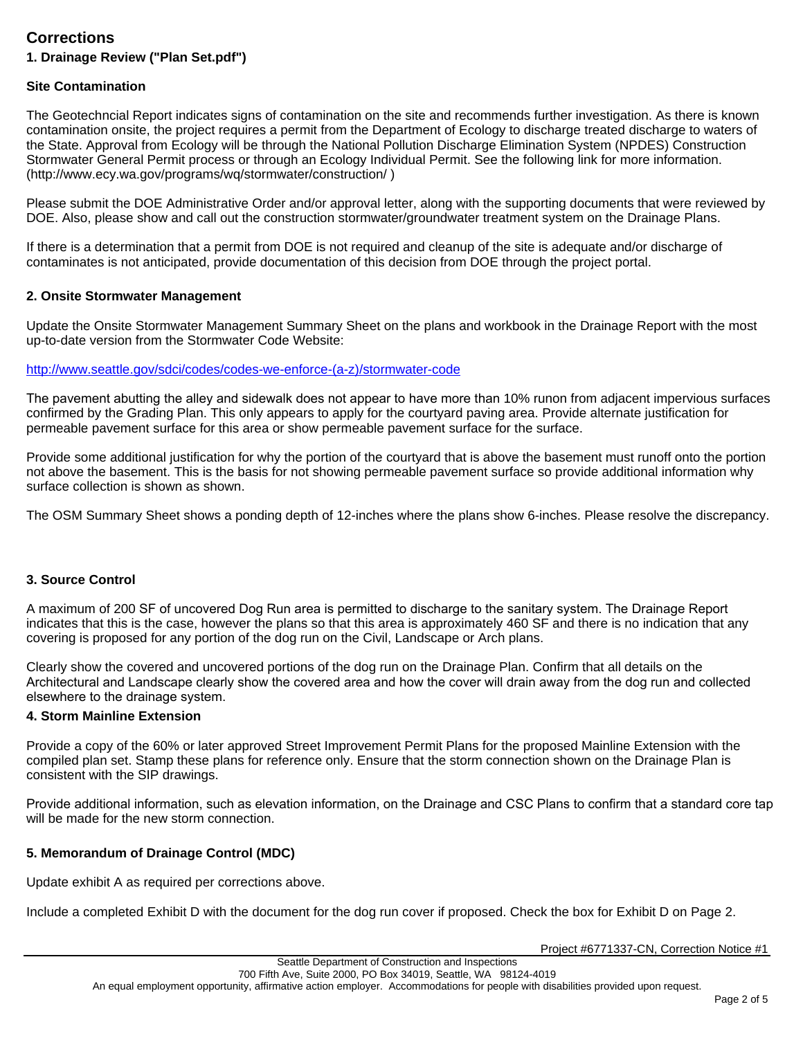# **Corrections**

# **1. Drainage Review ("Plan Set.pdf")**

### **Site Contamination**

The Geotechncial Report indicates signs of contamination on the site and recommends further investigation. As there is known contamination onsite, the project requires a permit from the Department of Ecology to discharge treated discharge to waters of the State. Approval from Ecology will be through the National Pollution Discharge Elimination System (NPDES) Construction Stormwater General Permit process or through an Ecology Individual Permit. See the following link for more information. (http://www.ecy.wa.gov/programs/wq/stormwater/construction/ )

Please submit the DOE Administrative Order and/or approval letter, along with the supporting documents that were reviewed by DOE. Also, please show and call out the construction stormwater/groundwater treatment system on the Drainage Plans.

If there is a determination that a permit from DOE is not required and cleanup of the site is adequate and/or discharge of contaminates is not anticipated, provide documentation of this decision from DOE through the project portal.

#### **2. Onsite Stormwater Management**

Update the Onsite Stormwater Management Summary Sheet on the plans and workbook in the Drainage Report with the most up-to-date version from the Stormwater Code Website:

#### [http://www.seattle.gov/sdci/codes/codes-we-enforce-\(a-z\)/stormwater-code](http://www.seattle.gov/sdci/codes/codes-we-enforce-(a-z)/stormwater-code)

The pavement abutting the alley and sidewalk does not appear to have more than 10% runon from adjacent impervious surfaces confirmed by the Grading Plan. This only appears to apply for the courtyard paving area. Provide alternate justification for permeable pavement surface for this area or show permeable pavement surface for the surface.

Provide some additional justification for why the portion of the courtyard that is above the basement must runoff onto the portion not above the basement. This is the basis for not showing permeable pavement surface so provide additional information why surface collection is shown as shown.

The OSM Summary Sheet shows a ponding depth of 12-inches where the plans show 6-inches. Please resolve the discrepancy.

#### **3. Source Control**

A maximum of 200 SF of uncovered Dog Run area is permitted to discharge to the sanitary system. The Drainage Report indicates that this is the case, however the plans so that this area is approximately 460 SF and there is no indication that any covering is proposed for any portion of the dog run on the Civil, Landscape or Arch plans.

Clearly show the covered and uncovered portions of the dog run on the Drainage Plan. Confirm that all details on the Architectural and Landscape clearly show the covered area and how the cover will drain away from the dog run and collected elsewhere to the drainage system.

#### **4. Storm Mainline Extension**

Provide a copy of the 60% or later approved Street Improvement Permit Plans for the proposed Mainline Extension with the compiled plan set. Stamp these plans for reference only. Ensure that the storm connection shown on the Drainage Plan is consistent with the SIP drawings.

Provide additional information, such as elevation information, on the Drainage and CSC Plans to confirm that a standard core tap will be made for the new storm connection.

## **5. Memorandum of Drainage Control (MDC)**

Update exhibit A as required per corrections above.

Include a completed Exhibit D with the document for the dog run cover if proposed. Check the box for Exhibit D on Page 2.

Project #6771337-CN, Correction Notice #1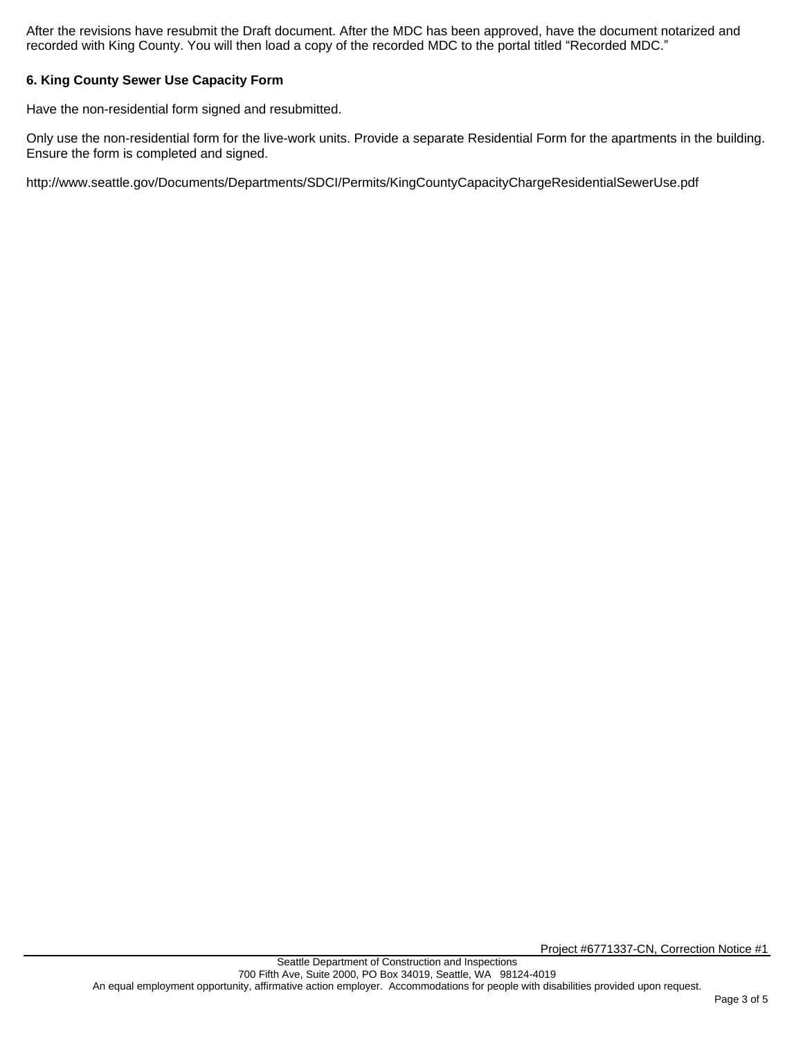After the revisions have resubmit the Draft document. After the MDC has been approved, have the document notarized and recorded with King County. You will then load a copy of the recorded MDC to the portal titled "Recorded MDC."

## **6. King County Sewer Use Capacity Form**

Have the non-residential form signed and resubmitted.

Only use the non-residential form for the live-work units. Provide a separate Residential Form for the apartments in the building. Ensure the form is completed and signed.

http://www.seattle.gov/Documents/Departments/SDCI/Permits/KingCountyCapacityChargeResidentialSewerUse.pdf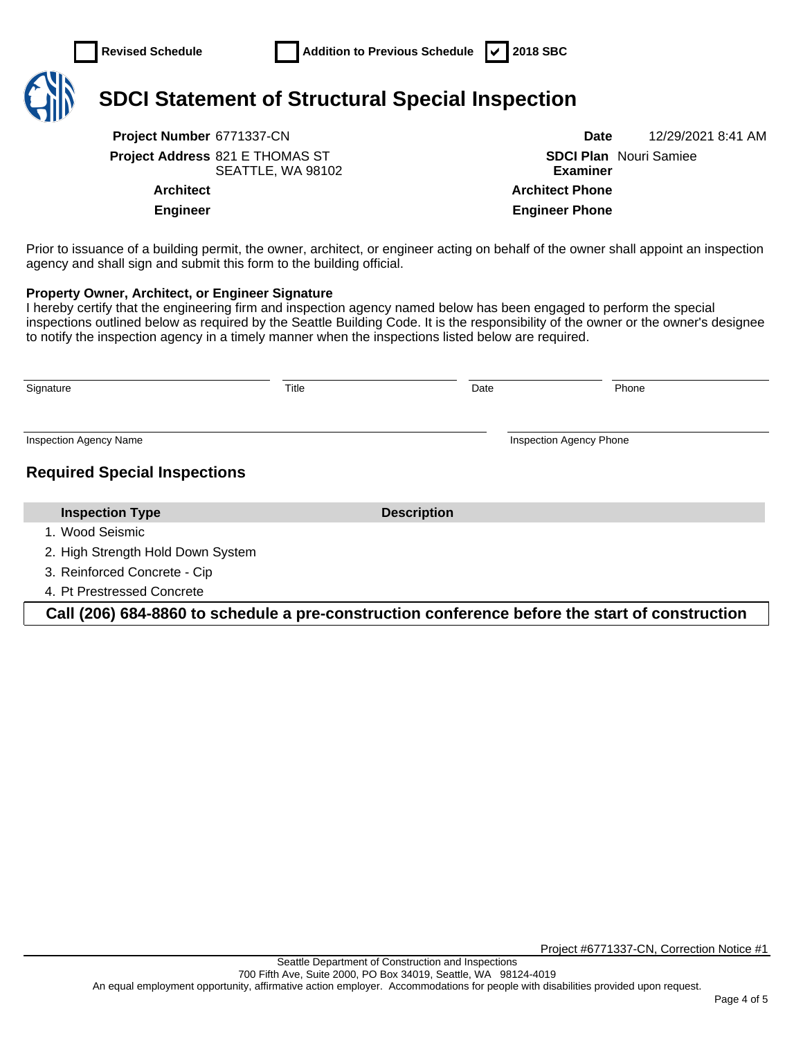

# **SDCI Statement of Structural Special Inspection**

**Project Number** 6771337-CN **Date** 12/29/2021 8:41 AM **Project Address** 821 E THOMAS ST SEATTLE, WA 98102

**SDCI Plan**  Nouri Samiee **Examiner Architect Architect Phone Engineer Engineer Phone**

Prior to issuance of a building permit, the owner, architect, or engineer acting on behalf of the owner shall appoint an inspection agency and shall sign and submit this form to the building official.

#### **Property Owner, Architect, or Engineer Signature**

I hereby certify that the engineering firm and inspection agency named below has been engaged to perform the special inspections outlined below as required by the Seattle Building Code. It is the responsibility of the owner or the owner's designee to notify the inspection agency in a timely manner when the inspections listed below are required.

| Signature                           | Title |                    | Date | Phone                          |
|-------------------------------------|-------|--------------------|------|--------------------------------|
| <b>Inspection Agency Name</b>       |       |                    |      | <b>Inspection Agency Phone</b> |
| <b>Required Special Inspections</b> |       |                    |      |                                |
| <b>Inspection Type</b>              |       | <b>Description</b> |      |                                |
| 1. Wood Seismic                     |       |                    |      |                                |
| 2. High Strength Hold Down System   |       |                    |      |                                |
| 3. Reinforced Concrete - Cip        |       |                    |      |                                |
| 4. Pt Prestressed Concrete          |       |                    |      |                                |

**Call (206) 684-8860 to schedule a pre-construction conference before the start of construction**

Project #6771337-CN, Correction Notice #1